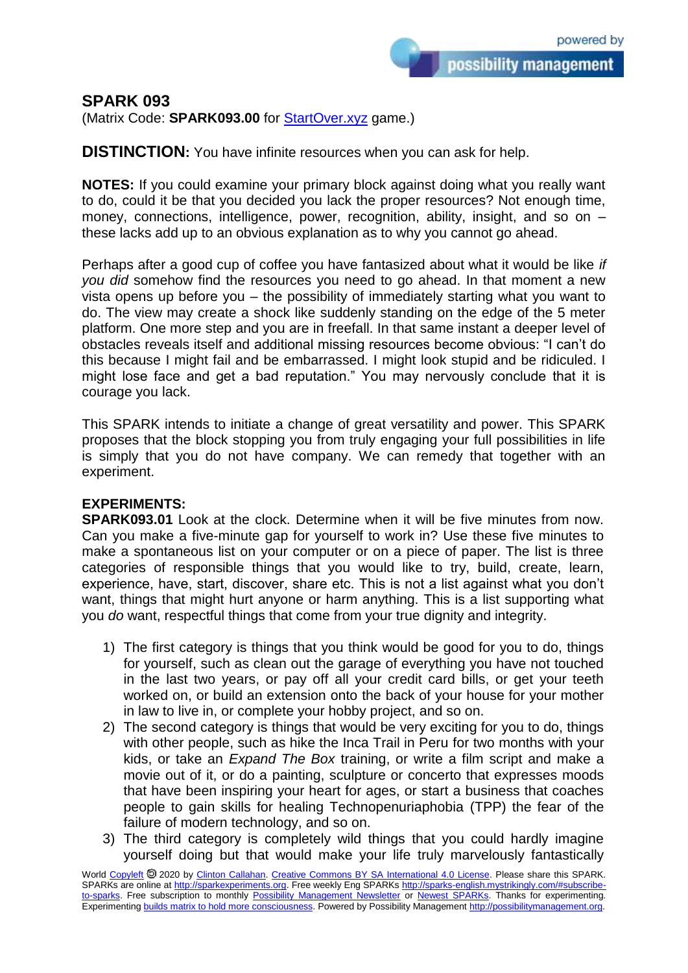## **SPARK 093**

(Matrix Code: **SPARK093.00** for [StartOver.xyz](https://startoverxyz.mystrikingly.com/) game.)

**DISTINCTION:** You have infinite resources when you can ask for help.

**NOTES:** If you could examine your primary block against doing what you really want to do, could it be that you decided you lack the proper resources? Not enough time, money, connections, intelligence, power, recognition, ability, insight, and so on  $$ these lacks add up to an obvious explanation as to why you cannot go ahead.

Perhaps after a good cup of coffee you have fantasized about what it would be like *if you did* somehow find the resources you need to go ahead. In that moment a new vista opens up before you – the possibility of immediately starting what you want to do. The view may create a shock like suddenly standing on the edge of the 5 meter platform. One more step and you are in freefall. In that same instant a deeper level of obstacles reveals itself and additional missing resources become obvious: "I can't do this because I might fail and be embarrassed. I might look stupid and be ridiculed. I might lose face and get a bad reputation." You may nervously conclude that it is courage you lack.

This SPARK intends to initiate a change of great versatility and power. This SPARK proposes that the block stopping you from truly engaging your full possibilities in life is simply that you do not have company. We can remedy that together with an experiment.

## **EXPERIMENTS:**

**SPARK093.01** Look at the clock. Determine when it will be five minutes from now. Can you make a five-minute gap for yourself to work in? Use these five minutes to make a spontaneous list on your computer or on a piece of paper. The list is three categories of responsible things that you would like to try, build, create, learn, experience, have, start, discover, share etc. This is not a list against what you don't want, things that might hurt anyone or harm anything. This is a list supporting what you *do* want, respectful things that come from your true dignity and integrity.

- 1) The first category is things that you think would be good for you to do, things for yourself, such as clean out the garage of everything you have not touched in the last two years, or pay off all your credit card bills, or get your teeth worked on, or build an extension onto the back of your house for your mother in law to live in, or complete your hobby project, and so on.
- 2) The second category is things that would be very exciting for you to do, things with other people, such as hike the Inca Trail in Peru for two months with your kids, or take an *Expand The Box* training, or write a film script and make a movie out of it, or do a painting, sculpture or concerto that expresses moods that have been inspiring your heart for ages, or start a business that coaches people to gain skills for healing Technopenuriaphobia (TPP) the fear of the failure of modern technology, and so on.
- 3) The third category is completely wild things that you could hardly imagine yourself doing but that would make your life truly marvelously fantastically

World [Copyleft](https://en.wikipedia.org/wiki/Copyleft) <sup>®</sup> 2020 by [Clinton Callahan.](http://clintoncallahan.mystrikingly.com/) [Creative Commons BY SA International 4.0 License.](https://creativecommons.org/licenses/by-sa/4.0/) Please share this SPARK. SPARKs are online at [http://sparkexperiments.org.](http://sparks-english.mystrikingly.com/) Free weekly Eng SPARKs [http://sparks-english.mystrikingly.com/#subscribe](http://sparks-english.mystrikingly.com/#subscribe-to-sparks)[to-sparks.](http://sparks-english.mystrikingly.com/#subscribe-to-sparks) Free subscription to monthly [Possibility Management Newsletter](https://possibilitymanagement.org/news/) or [Newest SPARKs.](https://www.clintoncallahan.org/newsletter-1) Thanks for experimenting. Experimentin[g builds matrix to hold more consciousness.](http://spaceport.mystrikingly.com/) Powered by Possibility Managemen[t http://possibilitymanagement.org.](http://possibilitymanagement.org/)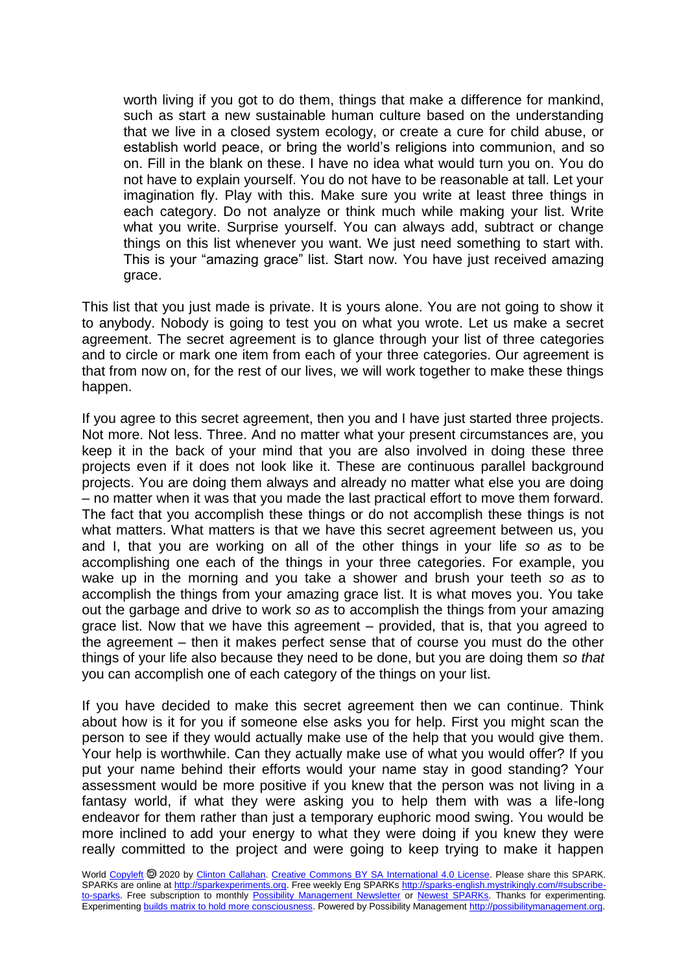worth living if you got to do them, things that make a difference for mankind, such as start a new sustainable human culture based on the understanding that we live in a closed system ecology, or create a cure for child abuse, or establish world peace, or bring the world's religions into communion, and so on. Fill in the blank on these. I have no idea what would turn you on. You do not have to explain yourself. You do not have to be reasonable at tall. Let your imagination fly. Play with this. Make sure you write at least three things in each category. Do not analyze or think much while making your list. Write what you write. Surprise yourself. You can always add, subtract or change things on this list whenever you want. We just need something to start with. This is your "amazing grace" list. Start now. You have just received amazing grace.

This list that you just made is private. It is yours alone. You are not going to show it to anybody. Nobody is going to test you on what you wrote. Let us make a secret agreement. The secret agreement is to glance through your list of three categories and to circle or mark one item from each of your three categories. Our agreement is that from now on, for the rest of our lives, we will work together to make these things happen.

If you agree to this secret agreement, then you and I have just started three projects. Not more. Not less. Three. And no matter what your present circumstances are, you keep it in the back of your mind that you are also involved in doing these three projects even if it does not look like it. These are continuous parallel background projects. You are doing them always and already no matter what else you are doing – no matter when it was that you made the last practical effort to move them forward. The fact that you accomplish these things or do not accomplish these things is not what matters. What matters is that we have this secret agreement between us, you and I, that you are working on all of the other things in your life *so as* to be accomplishing one each of the things in your three categories. For example, you wake up in the morning and you take a shower and brush your teeth *so as* to accomplish the things from your amazing grace list. It is what moves you. You take out the garbage and drive to work *so as* to accomplish the things from your amazing grace list. Now that we have this agreement – provided, that is, that you agreed to the agreement – then it makes perfect sense that of course you must do the other things of your life also because they need to be done, but you are doing them *so that* you can accomplish one of each category of the things on your list.

If you have decided to make this secret agreement then we can continue. Think about how is it for you if someone else asks you for help. First you might scan the person to see if they would actually make use of the help that you would give them. Your help is worthwhile. Can they actually make use of what you would offer? If you put your name behind their efforts would your name stay in good standing? Your assessment would be more positive if you knew that the person was not living in a fantasy world, if what they were asking you to help them with was a life-long endeavor for them rather than just a temporary euphoric mood swing. You would be more inclined to add your energy to what they were doing if you knew they were really committed to the project and were going to keep trying to make it happen

World [Copyleft](https://en.wikipedia.org/wiki/Copyleft) <sup>®</sup> 2020 by [Clinton Callahan.](http://clintoncallahan.mystrikingly.com/) [Creative Commons BY SA International 4.0 License.](https://creativecommons.org/licenses/by-sa/4.0/) Please share this SPARK. SPARKs are online at [http://sparkexperiments.org.](http://sparks-english.mystrikingly.com/) Free weekly Eng SPARKs [http://sparks-english.mystrikingly.com/#subscribe](http://sparks-english.mystrikingly.com/#subscribe-to-sparks)[to-sparks.](http://sparks-english.mystrikingly.com/#subscribe-to-sparks) Free subscription to monthly [Possibility Management Newsletter](https://possibilitymanagement.org/news/) or [Newest SPARKs.](https://www.clintoncallahan.org/newsletter-1) Thanks for experimenting. Experimentin[g builds matrix to hold more consciousness.](http://spaceport.mystrikingly.com/) Powered by Possibility Managemen[t http://possibilitymanagement.org.](http://possibilitymanagement.org/)